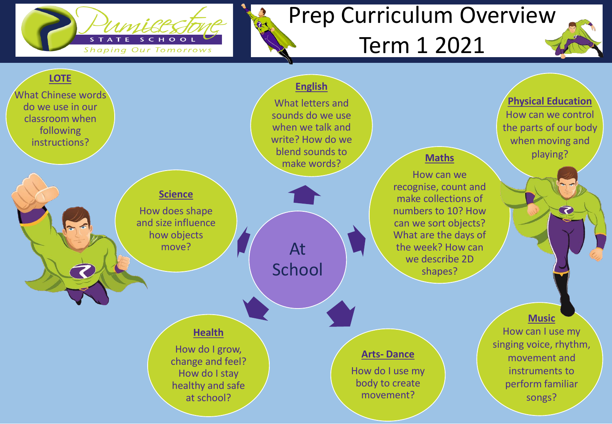

## Prep Curriculum Overview

## Term 1 2021

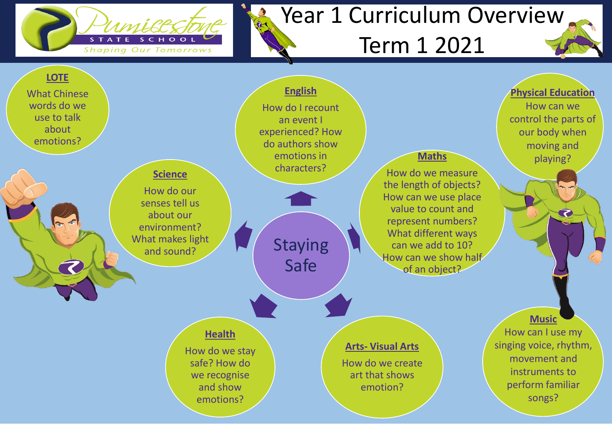

## Year 1 Curriculum Overview

## Term 1 2021

songs?



emotions?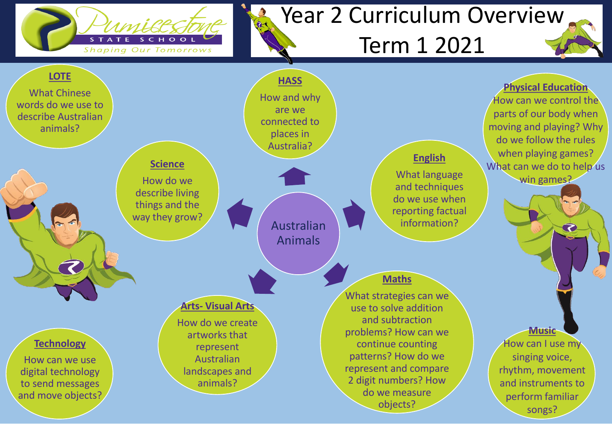

## Year 2 Curriculum Overview

## Term 1 2021

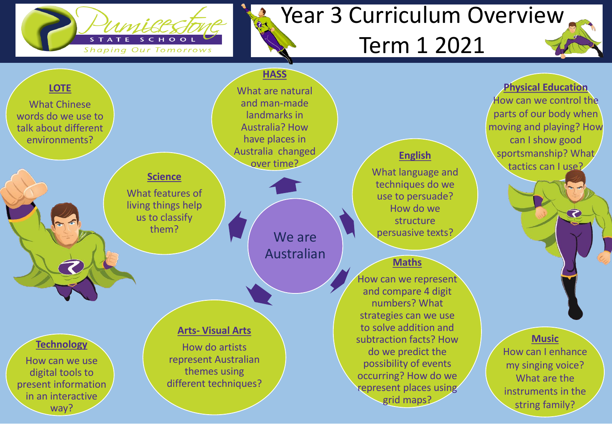

## Year 3 Curriculum Overview

## Term 1 2021

string family?



way?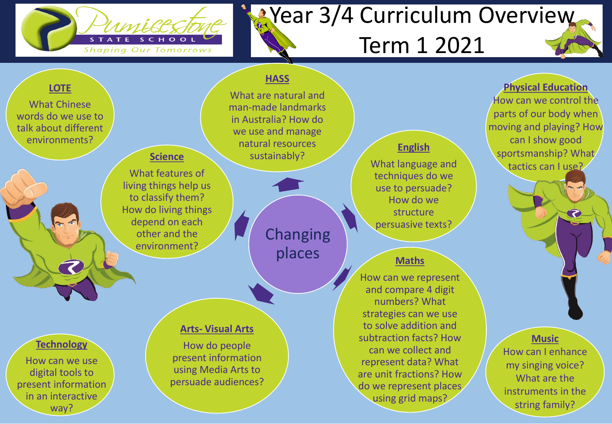

## **X**Year 3/4 Curriculum Overview Term 1 2021

#### **LOTE LOTE**

What Chinese words do we use to talk about different environments?

#### **Science**

What features of living things help us to classify them? How do living things depend on each other and the environment?

### man-made landmarks

in Australia? How do we use and manage natural resources sustainably?

**HASS**

What are natural and

### **Changing** places

#### **Arts- Visual Arts**

How do people present information using Media Arts to persuade audiences?

#### **English**

What language and techniques do we use to persuade? How do we structure persuasive texts?

#### **Maths**

How can we represent and compare 4 digit numbers? What strategies can we use to solve addition and subtraction facts? How can we collect and represent data? What are unit fractions? How do we represent places using grid maps?

**Physical Education** How can we control the parts of our body when moving and playing? How can I show good sportsmanship? What tactics can I use?

て

#### **Music**

How can I enhance my singing voice? What are the instruments in the string family?

#### **Technology**

How can we use digital tools to present information in an interactive way?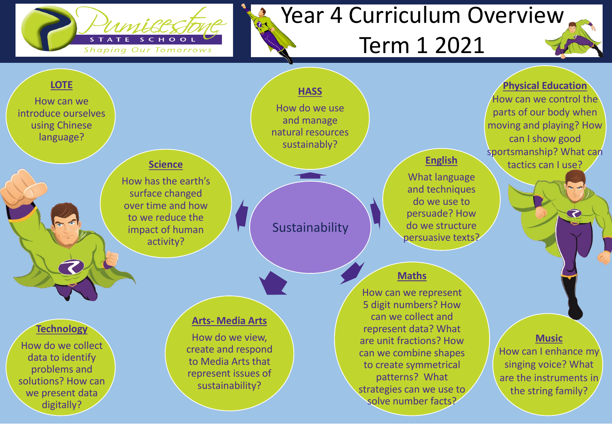

## Year 4 Curriculum Overview

## Term 1 2021

represent data? What are unit fractions? How can we combine shapes to create symmetrical patterns? What strategies can we use to solve number facts?

**Music** How can I enhance my singing voice? What are the instruments in the string family?



#### **Technology**

How do we collect data to identify problems and solutions? How can we present data digitally?

#### **Arts- Media Arts**

How do we view, create and respond to Media Arts that represent issues of sustainability?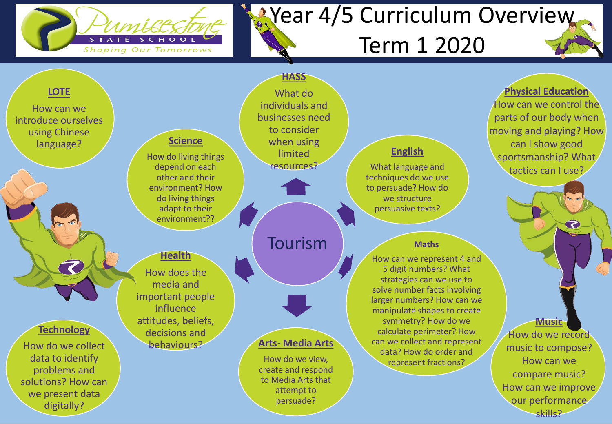

solutions? How can we present data digitally?

# **X**Year 4/5 Curriculum Overview

## Term 1 2020



to Media Arts that attempt to persuade?

compare music? How can we improve our performance skills?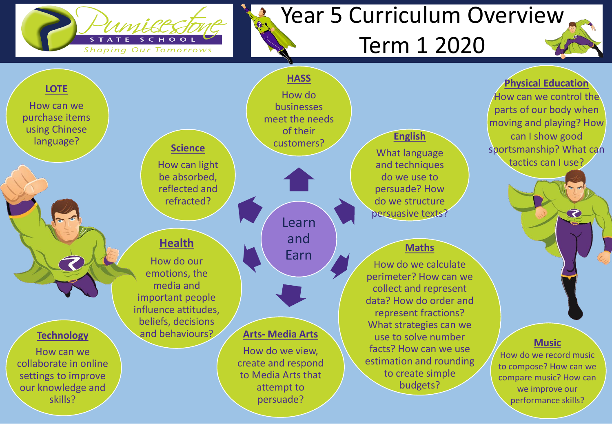

## Year 5 Curriculum Overview

## Term 1 2020

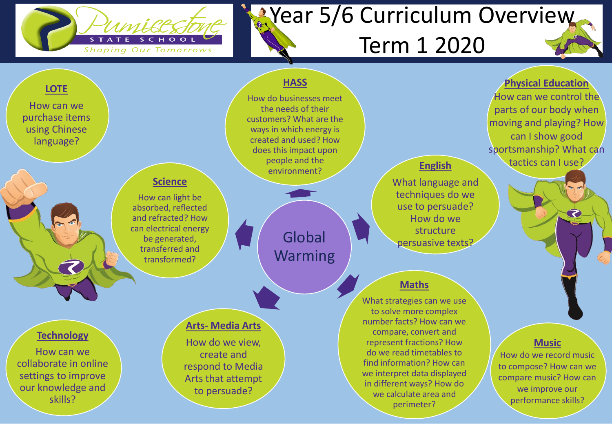

## **X**Year 5/6 Curriculum Overview Term 1 2020